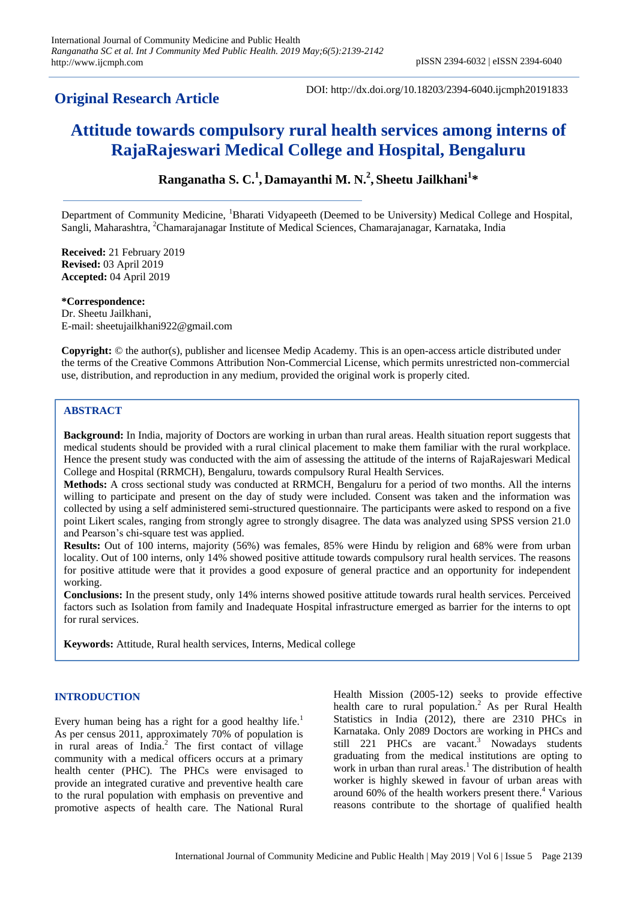## **Original Research Article**

DOI: http://dx.doi.org/10.18203/2394-6040.ijcmph20191833

# **Attitude towards compulsory rural health services among interns of RajaRajeswari Medical College and Hospital, Bengaluru**

**Ranganatha S. C. 1 , Damayanthi M. N. 2 , Sheetu Jailkhani<sup>1</sup> \***

Department of Community Medicine, <sup>1</sup>Bharati Vidyapeeth (Deemed to be University) Medical College and Hospital, Sangli, Maharashtra, <sup>2</sup>Chamarajanagar Institute of Medical Sciences, Chamarajanagar, Karnataka, India

**Received:** 21 February 2019 **Revised:** 03 April 2019 **Accepted:** 04 April 2019

**\*Correspondence:** Dr. Sheetu Jailkhani,

E-mail: sheetujailkhani922@gmail.com

**Copyright:** © the author(s), publisher and licensee Medip Academy. This is an open-access article distributed under the terms of the Creative Commons Attribution Non-Commercial License, which permits unrestricted non-commercial use, distribution, and reproduction in any medium, provided the original work is properly cited.

## **ABSTRACT**

**Background:** In India, majority of Doctors are working in urban than rural areas. Health situation report suggests that medical students should be provided with a rural clinical placement to make them familiar with the rural workplace. Hence the present study was conducted with the aim of assessing the attitude of the interns of RajaRajeswari Medical College and Hospital (RRMCH), Bengaluru, towards compulsory Rural Health Services.

**Methods:** A cross sectional study was conducted at RRMCH, Bengaluru for a period of two months. All the interns willing to participate and present on the day of study were included. Consent was taken and the information was collected by using a self administered semi-structured questionnaire. The participants were asked to respond on a five point Likert scales, ranging from strongly agree to strongly disagree. The data was analyzed using SPSS version 21.0 and Pearson's chi-square test was applied.

**Results:** Out of 100 interns, majority (56%) was females, 85% were Hindu by religion and 68% were from urban locality. Out of 100 interns, only 14% showed positive attitude towards compulsory rural health services. The reasons for positive attitude were that it provides a good exposure of general practice and an opportunity for independent working.

**Conclusions:** In the present study, only 14% interns showed positive attitude towards rural health services. Perceived factors such as Isolation from family and Inadequate Hospital infrastructure emerged as barrier for the interns to opt for rural services.

**Keywords:** Attitude, Rural health services, Interns, Medical college

## **INTRODUCTION**

Every human being has a right for a good healthy life.<sup>1</sup> As per census 2011, approximately 70% of population is in rural areas of India.<sup>2</sup> The first contact of village community with a medical officers occurs at a primary health center (PHC). The PHCs were envisaged to provide an integrated curative and preventive health care to the rural population with emphasis on preventive and promotive aspects of health care. The National Rural Health Mission (2005-12) seeks to provide effective health care to rural population.<sup>2</sup> As per Rural Health Statistics in India (2012), there are 2310 PHCs in Karnataka. Only 2089 Doctors are working in PHCs and still 221 PHCs are vacant.<sup>3</sup> Nowadays students graduating from the medical institutions are opting to work in urban than rural areas.<sup>1</sup> The distribution of health worker is highly skewed in favour of urban areas with around  $60\%$  of the health workers present there.<sup>4</sup> Various reasons contribute to the shortage of qualified health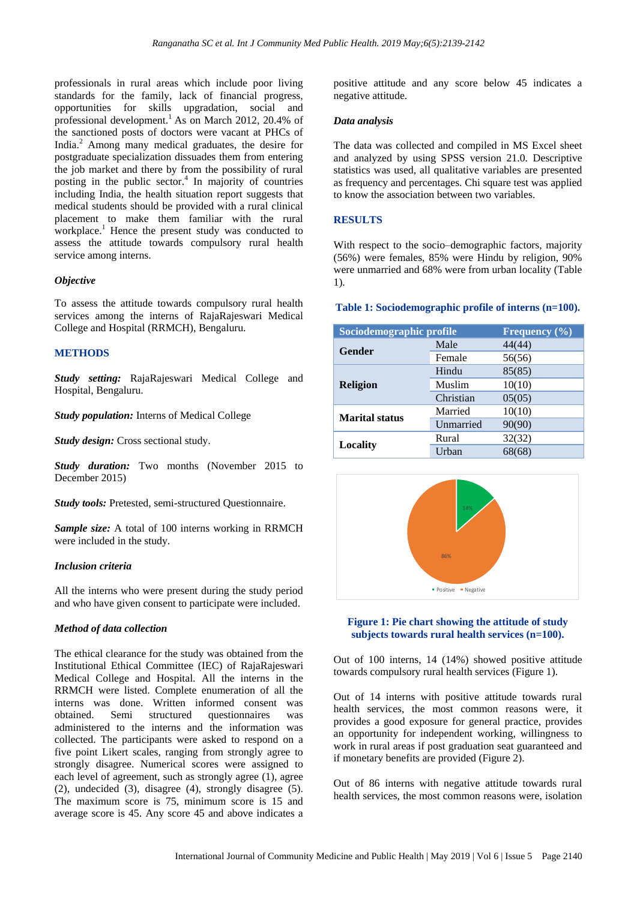professionals in rural areas which include poor living standards for the family, lack of financial progress, opportunities for skills upgradation, social and professional development.<sup>1</sup> As on March 2012, 20.4% of the sanctioned posts of doctors were vacant at PHCs of India.<sup>2</sup> Among many medical graduates, the desire for postgraduate specialization dissuades them from entering the job market and there by from the possibility of rural posting in the public sector. 4 In majority of countries including India, the health situation report suggests that medical students should be provided with a rural clinical placement to make them familiar with the rural workplace.<sup>1</sup> Hence the present study was conducted to assess the attitude towards compulsory rural health service among interns.

#### *Objective*

To assess the attitude towards compulsory rural health services among the interns of RajaRajeswari Medical College and Hospital (RRMCH), Bengaluru.

#### **METHODS**

*Study setting:* RajaRajeswari Medical College and Hospital, Bengaluru.

*Study population:* Interns of Medical College

*Study design:* Cross sectional study.

*Study duration:* Two months (November 2015 to December 2015)

*Study tools:* Pretested, semi-structured Questionnaire.

*Sample size:* A total of 100 interns working in RRMCH were included in the study.

#### *Inclusion criteria*

All the interns who were present during the study period and who have given consent to participate were included.

#### *Method of data collection*

The ethical clearance for the study was obtained from the Institutional Ethical Committee (IEC) of RajaRajeswari Medical College and Hospital. All the interns in the RRMCH were listed. Complete enumeration of all the interns was done. Written informed consent was obtained. Semi structured questionnaires was administered to the interns and the information was collected. The participants were asked to respond on a five point Likert scales, ranging from strongly agree to strongly disagree. Numerical scores were assigned to each level of agreement, such as strongly agree (1), agree (2), undecided (3), disagree (4), strongly disagree (5). The maximum score is 75, minimum score is 15 and average score is 45. Any score 45 and above indicates a positive attitude and any score below 45 indicates a negative attitude.

#### *Data analysis*

The data was collected and compiled in MS Excel sheet and analyzed by using SPSS version 21.0. Descriptive statistics was used, all qualitative variables are presented as frequency and percentages. Chi square test was applied to know the association between two variables.

#### **RESULTS**

With respect to the socio–demographic factors, majority (56%) were females, 85% were Hindu by religion, 90% were unmarried and 68% were from urban locality (Table 1).

#### **Table 1: Sociodemographic profile of interns (n=100).**

| Sociodemographic profile |           | Frequency $(\% )$ |
|--------------------------|-----------|-------------------|
| Gender                   | Male      | 44(44)            |
|                          | Female    | 56(56)            |
| <b>Religion</b>          | Hindu     | 85(85)            |
|                          | Muslim    | 10(10)            |
|                          | Christian | 05(05)            |
| <b>Marital status</b>    | Married   | 10(10)            |
|                          | Unmarried | 90(90)            |
| Locality                 | Rural     | 32(32)            |
|                          | Urban     | 68(68)            |



#### **Figure 1: Pie chart showing the attitude of study subjects towards rural health services (n=100).**

Out of 100 interns, 14 (14%) showed positive attitude towards compulsory rural health services (Figure 1).

Out of 14 interns with positive attitude towards rural health services, the most common reasons were, it provides a good exposure for general practice, provides an opportunity for independent working, willingness to work in rural areas if post graduation seat guaranteed and if monetary benefits are provided (Figure 2).

Out of 86 interns with negative attitude towards rural health services, the most common reasons were, isolation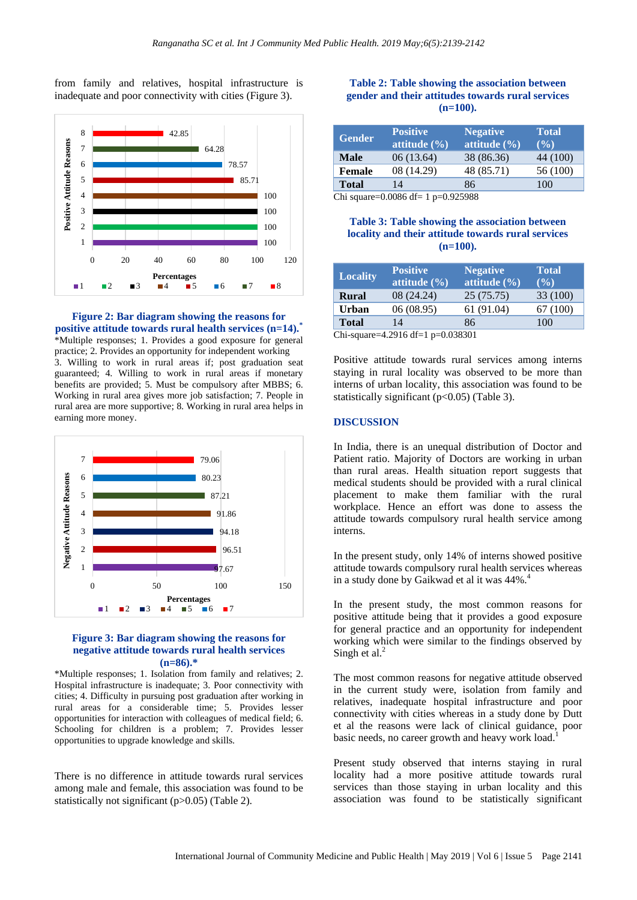from family and relatives, hospital infrastructure is inadequate and poor connectivity with cities (Figure 3).



**Figure 2: Bar diagram showing the reasons for positive attitude towards rural health services (n=14).\*** \*Multiple responses; 1. Provides a good exposure for general practice; 2. Provides an opportunity for independent working

3. Willing to work in rural areas if; post graduation seat guaranteed; 4. Willing to work in rural areas if monetary benefits are provided; 5. Must be compulsory after MBBS; 6. Working in rural area gives more job satisfaction; 7. People in rural area are more supportive; 8. Working in rural area helps in earning more money.



#### **Figure 3: Bar diagram showing the reasons for negative attitude towards rural health services (n=86).\***

\*Multiple responses; 1. Isolation from family and relatives; 2. Hospital infrastructure is inadequate; 3. Poor connectivity with cities; 4. Difficulty in pursuing post graduation after working in rural areas for a considerable time; 5. Provides lesser opportunities for interaction with colleagues of medical field; 6. Schooling for children is a problem; 7. Provides lesser opportunities to upgrade knowledge and skills.

There is no difference in attitude towards rural services among male and female, this association was found to be statistically not significant (p>0.05) (Table 2).

#### **Table 2: Table showing the association between gender and their attitudes towards rural services (n=100).**

| <b>Gender</b> | <b>Positive</b><br>attitude $(\% )$ | <b>Negative</b><br>attitude $(\% )$ | <b>Total</b><br>$($ %) |
|---------------|-------------------------------------|-------------------------------------|------------------------|
| <b>Male</b>   | 06(13.64)                           | 38 (86.36)                          | 44 (100)               |
| <b>Female</b> | 08 (14.29)                          | 48 (85.71)                          | 56 (100)               |
| <b>Total</b>  | 14                                  | 86                                  | 100                    |

Chi square=0.0086 df= 1 p=0.925988

#### **Table 3: Table showing the association between locality and their attitude towards rural services (n=100).**

| <b>Locality</b>                   | <b>Positive</b><br>attitude $(\% )$ | <b>Negative</b><br>attitude $(\% )$ | <b>Total</b><br>$($ %) |  |  |
|-----------------------------------|-------------------------------------|-------------------------------------|------------------------|--|--|
| <b>Rural</b>                      | 08 (24.24)                          | 25(75.75)                           | 33 (100)               |  |  |
| <b>Urban</b>                      | 06(08.95)                           | 61 (91.04)                          | 67 (100)               |  |  |
| <b>Total</b>                      | 14                                  | 86                                  | 100                    |  |  |
| Chi-sauare–4 2916 df–1 n–0 038301 |                                     |                                     |                        |  |  |

Chi-square=4.2916 df=1 p=0.038301

Positive attitude towards rural services among interns staying in rural locality was observed to be more than interns of urban locality, this association was found to be statistically significant (p<0.05) (Table 3).

#### **DISCUSSION**

In India, there is an unequal distribution of Doctor and Patient ratio. Majority of Doctors are working in urban than rural areas. Health situation report suggests that medical students should be provided with a rural clinical placement to make them familiar with the rural workplace. Hence an effort was done to assess the attitude towards compulsory rural health service among interns.

In the present study, only 14% of interns showed positive attitude towards compulsory rural health services whereas in a study done by Gaikwad et al it was 44%.<sup>4</sup>

In the present study, the most common reasons for positive attitude being that it provides a good exposure for general practice and an opportunity for independent working which were similar to the findings observed by Singh et al. $<sup>2</sup>$ </sup>

The most common reasons for negative attitude observed in the current study were, isolation from family and relatives, inadequate hospital infrastructure and poor connectivity with cities whereas in a study done by Dutt et al the reasons were lack of clinical guidance, poor basic needs, no career growth and heavy work load.

Present study observed that interns staying in rural locality had a more positive attitude towards rural services than those staying in urban locality and this association was found to be statistically significant